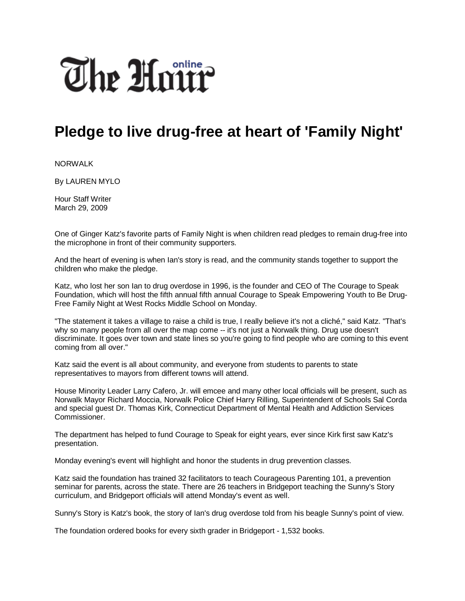

## **Pledge to live drug-free at heart of 'Family Night'**

NORWALK

By LAUREN MYLO

Hour Staff Writer March 29, 2009

One of Ginger Katz's favorite parts of Family Night is when children read pledges to remain drug-free into the microphone in front of their community supporters.

And the heart of evening is when Ian's story is read, and the community stands together to support the children who make the pledge.

Katz, who lost her son Ian to drug overdose in 1996, is the founder and CEO of The Courage to Speak Foundation, which will host the fifth annual fifth annual Courage to Speak Empowering Youth to Be Drug-Free Family Night at West Rocks Middle School on Monday.

"The statement it takes a village to raise a child is true, I really believe it's not a cliché," said Katz. "That's why so many people from all over the map come -- it's not just a Norwalk thing. Drug use doesn't discriminate. It goes over town and state lines so you're going to find people who are coming to this event coming from all over."

Katz said the event is all about community, and everyone from students to parents to state representatives to mayors from different towns will attend.

House Minority Leader Larry Cafero, Jr. will emcee and many other local officials will be present, such as Norwalk Mayor Richard Moccia, Norwalk Police Chief Harry Rilling, Superintendent of Schools Sal Corda and special guest Dr. Thomas Kirk, Connecticut Department of Mental Health and Addiction Services Commissioner.

The department has helped to fund Courage to Speak for eight years, ever since Kirk first saw Katz's presentation.

Monday evening's event will highlight and honor the students in drug prevention classes.

Katz said the foundation has trained 32 facilitators to teach Courageous Parenting 101, a prevention seminar for parents, across the state. There are 26 teachers in Bridgeport teaching the Sunny's Story curriculum, and Bridgeport officials will attend Monday's event as well.

Sunny's Story is Katz's book, the story of Ian's drug overdose told from his beagle Sunny's point of view.

The foundation ordered books for every sixth grader in Bridgeport - 1,532 books.